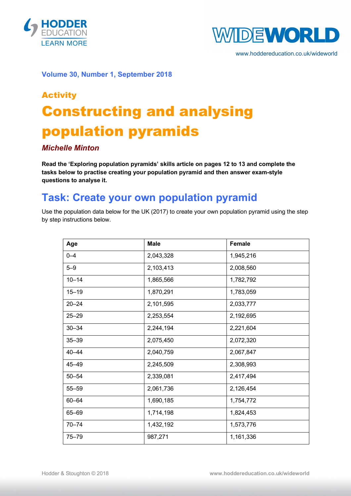



www.hoddereducation.co.uk/wideworld

**Volume 30, Number 1, September 2018**

# Activity Constructing and analysing population pyramids

### *Michelle Minton*

**Read the 'Exploring population pyramids' skills article on pages 12 to 13 and complete the tasks below to practise creating your population pyramid and then answer exam-style questions to analyse it.**

# **Task: Create your own population pyramid**

Use the population data below for the UK (2017) to create your own population pyramid using the step by step instructions below.

| Age       | <b>Male</b> | Female    |
|-----------|-------------|-----------|
| $0 - 4$   | 2,043,328   | 1,945,216 |
| $5 - 9$   | 2,103,413   | 2,008,560 |
| $10 - 14$ | 1,865,566   | 1,782,792 |
| $15 - 19$ | 1,870,291   | 1,783,059 |
| $20 - 24$ | 2,101,595   | 2,033,777 |
| $25 - 29$ | 2,253,554   | 2,192,695 |
| $30 - 34$ | 2,244,194   | 2,221,604 |
| $35 - 39$ | 2,075,450   | 2,072,320 |
| $40 - 44$ | 2,040,759   | 2,067,847 |
| 45-49     | 2,245,509   | 2,308,993 |
| $50 - 54$ | 2,339,081   | 2,417,494 |
| $55 - 59$ | 2,061,736   | 2,126,454 |
| $60 - 64$ | 1,690,185   | 1,754,772 |
| 65-69     | 1,714,198   | 1,824,453 |
| $70 - 74$ | 1,432,192   | 1,573,776 |
| $75 - 79$ | 987,271     | 1,161,336 |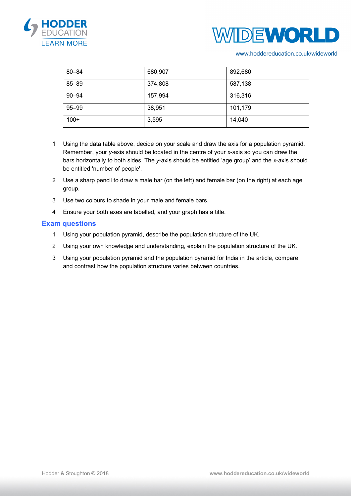



#### www.hoddereducation.co.uk/wideworld

| $80 - 84$ | 680,907 | 892,680 |
|-----------|---------|---------|
| $85 - 89$ | 374,808 | 587,138 |
| $90 - 94$ | 157,994 | 316,316 |
| $95 - 99$ | 38,951  | 101,179 |
| $100+$    | 3,595   | 14,040  |

- 1 Using the data table above, decide on your scale and draw the axis for a population pyramid. Remember, your *y*-axis should be located in the centre of your *x*-axis so you can draw the bars horizontally to both sides. The *y*-axis should be entitled 'age group' and the *x*-axis should be entitled 'number of people'.
- 2 Use a sharp pencil to draw a male bar (on the left) and female bar (on the right) at each age group.
- 3 Use two colours to shade in your male and female bars.
- 4 Ensure your both axes are labelled, and your graph has a title.

#### **Exam questions**

- 1 Using your population pyramid, describe the population structure of the UK.
- 2 Using your own knowledge and understanding, explain the population structure of the UK.
- 3 Using your population pyramid and the population pyramid for India in the article, compare and contrast how the population structure varies between countries.